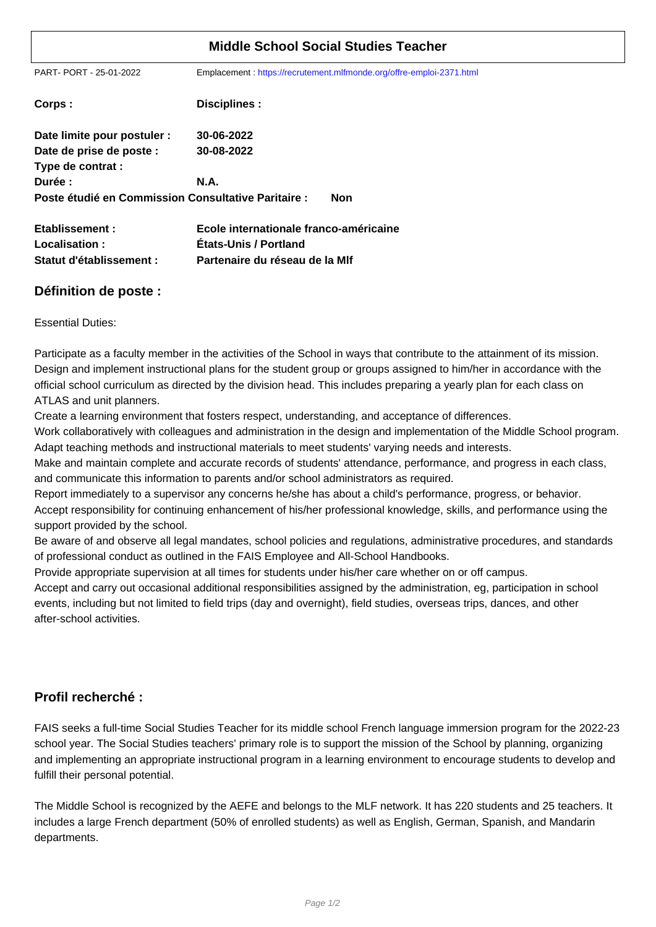| <b>Middle School Social Studies Teacher</b>         |                                                                      |
|-----------------------------------------------------|----------------------------------------------------------------------|
| PART- PORT - 25-01-2022                             | Emplacement: https://recrutement.mlfmonde.org/offre-emploi-2371.html |
| Corps:                                              | Disciplines :                                                        |
| Date limite pour postuler :                         | 30-06-2022                                                           |
| Date de prise de poste :                            | 30-08-2022                                                           |
| Type de contrat :                                   |                                                                      |
| Durée :                                             | <b>N.A.</b>                                                          |
| Poste étudié en Commission Consultative Paritaire : | <b>Non</b>                                                           |
| Etablissement:                                      | Ecole internationale franco-américaine                               |
| Localisation:                                       | <b>Etats-Unis / Portland</b>                                         |
| Statut d'établissement :                            | Partenaire du réseau de la MIf                                       |

## **Définition de poste :**

Essential Duties:

Participate as a faculty member in the activities of the School in ways that contribute to the attainment of its mission. Design and implement instructional plans for the student group or groups assigned to him/her in accordance with the official school curriculum as directed by the division head. This includes preparing a yearly plan for each class on ATLAS and unit planners.

Create a learning environment that fosters respect, understanding, and acceptance of differences.

Work collaboratively with colleagues and administration in the design and implementation of the Middle School program. Adapt teaching methods and instructional materials to meet students' varying needs and interests.

Make and maintain complete and accurate records of students' attendance, performance, and progress in each class, and communicate this information to parents and/or school administrators as required.

Report immediately to a supervisor any concerns he/she has about a child's performance, progress, or behavior.

Accept responsibility for continuing enhancement of his/her professional knowledge, skills, and performance using the support provided by the school.

Be aware of and observe all legal mandates, school policies and regulations, administrative procedures, and standards of professional conduct as outlined in the FAIS Employee and All-School Handbooks.

Provide appropriate supervision at all times for students under his/her care whether on or off campus.

Accept and carry out occasional additional responsibilities assigned by the administration, eg, participation in school events, including but not limited to field trips (day and overnight), field studies, overseas trips, dances, and other after-school activities.

## **Profil recherché :**

FAIS seeks a full-time Social Studies Teacher for its middle school French language immersion program for the 2022-23 school year. The Social Studies teachers' primary role is to support the mission of the School by planning, organizing and implementing an appropriate instructional program in a learning environment to encourage students to develop and fulfill their personal potential.

The Middle School is recognized by the AEFE and belongs to the MLF network. It has 220 students and 25 teachers. It includes a large French department (50% of enrolled students) as well as English, German, Spanish, and Mandarin departments.